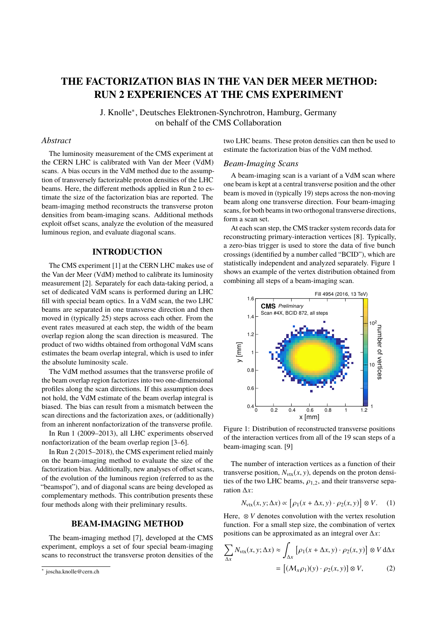# **THE FACTORIZATION BIAS IN THE VAN DER MEER METHOD: RUN 2 EXPERIENCES AT THE CMS EXPERIMENT**

J. Knolle<sup>∗</sup> , Deutsches Elektronen-Synchrotron, Hamburg, Germany on behalf of the CMS Collaboration

## *Abstract*

The luminosity measurement of the CMS experiment at the CERN LHC is calibrated with Van der Meer (VdM) scans. A bias occurs in the VdM method due to the assumption of transversely factorizable proton densities of the LHC beams. Here, the different methods applied in Run 2 to estimate the size of the factorization bias are reported. The beam-imaging method reconstructs the transverse proton densities from beam-imaging scans. Additional methods exploit offset scans, analyze the evolution of the measured luminous region, and evaluate diagonal scans.

## **INTRODUCTION**

The CMS experiment [\[1\]](#page-4-0) at the CERN LHC makes use of the Van der Meer (VdM) method to calibrate its luminosity measurement [\[2\]](#page-4-1). Separately for each data-taking period, a set of dedicated VdM scans is performed during an LHC fill with special beam optics. In a VdM scan, the two LHC beams are separated in one transverse direction and then moved in (typically 25) steps across each other. From the event rates measured at each step, the width of the beam overlap region along the scan direction is measured. The product of two widths obtained from orthogonal VdM scans estimates the beam overlap integral, which is used to infer the absolute luminosity scale.

The VdM method assumes that the transverse profile of the beam overlap region factorizes into two one-dimensional profiles along the scan directions. If this assumption does not hold, the VdM estimate of the beam overlap integral is biased. The bias can result from a mismatch between the scan directions and the factorization axes, or (additionally) from an inherent nonfactorization of the transverse profile.

In Run 1 (2009–2013), all LHC experiments observed nonfactorization of the beam overlap region [\[3–](#page-4-2)[6\]](#page-4-3).

In Run 2 (2015–2018), the CMS experiment relied mainly on the beam-imaging method to evaluate the size of the factorization bias. Additionally, new analyses of offset scans, of the evolution of the luminous region (referred to as the "beamspot"), and of diagonal scans are being developed as complementary methods. This contribution presents these four methods along with their preliminary results.

## **BEAM-IMAGING METHOD**

The beam-imaging method [\[7\]](#page-4-4), developed at the CMS experiment, employs a set of four special beam-imaging scans to reconstruct the transverse proton densities of the two LHC beams. These proton densities can then be used to estimate the factorization bias of the VdM method.

### *Beam-Imaging Scans*

A beam-imaging scan is a variant of a VdM scan where one beam is kept at a central transverse position and the other beam is moved in (typically 19) steps across the non-moving beam along one transverse direction. Four beam-imaging scans, for both beams in two orthogonal transverse directions, form a scan set.

At each scan step, the CMS tracker system records data for reconstructing primary-interaction vertices [\[8\]](#page-4-5). Typically, a zero-bias trigger is used to store the data of five bunch crossings (identified by a number called "BCID"), which are statistically independent and analyzed separately. Figure [1](#page-0-0) shows an example of the vertex distribution obtained from combining all steps of a beam-imaging scan.

<span id="page-0-0"></span>

Figure 1: Distribution of reconstructed transverse positions of the interaction vertices from all of the 19 scan steps of a beam-imaging scan. [\[9\]](#page-4-6)

The number of interaction vertices as a function of their transverse position,  $N_{\text{vtx}}(x, y)$ , depends on the proton densities of the two LHC beams,  $\rho_{1,2}$ , and their transverse separation ∆*x*:

<span id="page-0-1"></span>
$$
N_{\text{vtx}}(x, y; \Delta x) \propto \left[ \rho_1(x + \Delta x, y) \cdot \rho_2(x, y) \right] \otimes V. \tag{1}
$$

Here,  $\otimes$  *V* denotes convolution with the vertex resolution function. For a small step size, the combination of vertex positions can be approximated as an integral over ∆*x*:

$$
\sum_{\Delta x} N_{\text{vtx}}(x, y; \Delta x) \approx \int_{\Delta x} \left[ \rho_1(x + \Delta x, y) \cdot \rho_2(x, y) \right] \otimes V d\Delta x
$$

$$
= \left[ (\mathcal{M}_x \rho_1)(y) \cdot \rho_2(x, y) \right] \otimes V, \tag{2}
$$

<sup>∗</sup> [joscha.knolle@cern.ch](mailto:joscha.knolle@cern.ch)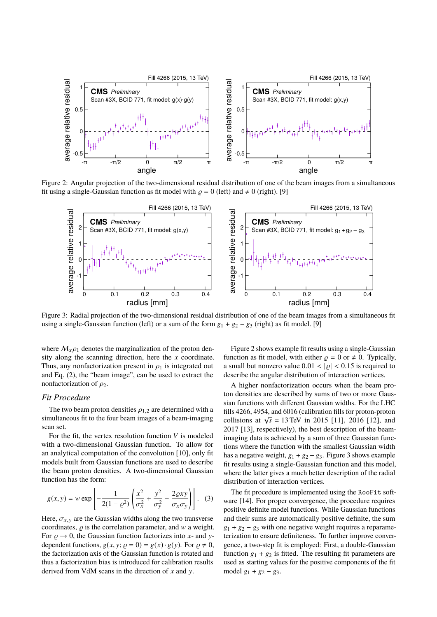<span id="page-1-0"></span>

<span id="page-1-1"></span>Figure 2: Angular projection of the two-dimensional residual distribution of one of the beam images from a simultaneous fit using a single-Gaussian function as fit model with  $\rho = 0$  (left) and  $\neq 0$  (right). [\[9\]](#page-4-6)



Figure 3: Radial projection of the two-dimensional residual distribution of one of the beam images from a simultaneous fit using a single-Gaussian function (left) or a sum of the form  $g_1 + g_2 - g_3$  (right) as fit model. [\[9\]](#page-4-6)

where  $\mathcal{M}_{x}\rho_1$  denotes the marginalization of the proton density along the scanning direction, here the *x* coordinate. Thus, any nonfactorization present in  $\rho_1$  is integrated out and Eq. [\(2\)](#page-0-1), the "beam image", can be used to extract the nonfactorization of  $\rho_2$ .

#### *Fit Procedure*

The two beam proton densities  $\rho_{1,2}$  are determined with a simultaneous fit to the four beam images of a beam-imaging scan set.

For the fit, the vertex resolution function *V* is modeled with a two-dimensional Gaussian function. To allow for an analytical computation of the convolution [\[10\]](#page-4-7), only fit models built from Gaussian functions are used to describe the beam proton densities. A two-dimensional Gaussian function has the form:

$$
g(x,y) = w \exp\left[-\frac{1}{2(1-\varrho^2)} \left(\frac{x^2}{\sigma_x^2} + \frac{y^2}{\sigma_y^2} - \frac{2\varrho xy}{\sigma_x \sigma_y}\right)\right].
$$
 (3)

Here,  $\sigma_{x,y}$  are the Gaussian widths along the two transverse coordinates,  $\rho$  is the correlation parameter, and w a weight. For  $\rho \rightarrow 0$ , the Gaussian function factorizes into *x*- and *y*dependent functions,  $g(x, y; \rho = 0) = g(x) \cdot g(y)$ . For  $\rho \neq 0$ , the factorization axis of the Gaussian function is rotated and thus a factorization bias is introduced for calibration results derived from VdM scans in the direction of *x* and y.

Figure [2](#page-1-0) shows example fit results using a single-Gaussian function as fit model, with either  $\rho = 0$  or  $\neq 0$ . Typically, a small but nonzero value  $0.01 < |\rho| < 0.15$  is required to describe the angular distribution of interaction vertices.

A higher nonfactorization occurs when the beam proton densities are described by sums of two or more Gaussian functions with different Gaussian widths. For the LHC fills 4266, 4954, and 6016 (calibration fills for proton-proton ins 4200, 4954, and 6010 (canoration ins for proton-proton collisions at  $\sqrt{s}$  = 13 TeV in 2015 [\[11\]](#page-4-8), 2016 [\[12\]](#page-4-9), and 2017 [\[13\]](#page-4-10), respectively), the best description of the beamimaging data is achieved by a sum of three Gaussian functions where the function with the smallest Gaussian width has a negative weight,  $g_1 + g_2 - g_3$ . Figure [3](#page-1-1) shows example fit results using a single-Gaussian function and this model, where the latter gives a much better description of the radial distribution of interaction vertices.

The fit procedure is implemented using the RooFit software [\[14\]](#page-4-11). For proper convergence, the procedure requires positive definite model functions. While Gaussian functions and their sums are automatically positive definite, the sum  $g_1 + g_2 - g_3$  with one negative weight requires a reparameterization to ensure definiteness. To further improve convergence, a two-step fit is employed: First, a double-Gaussian function  $g_1 + g_2$  is fitted. The resulting fit parameters are used as starting values for the positive components of the fit model  $g_1 + g_2 - g_3$ .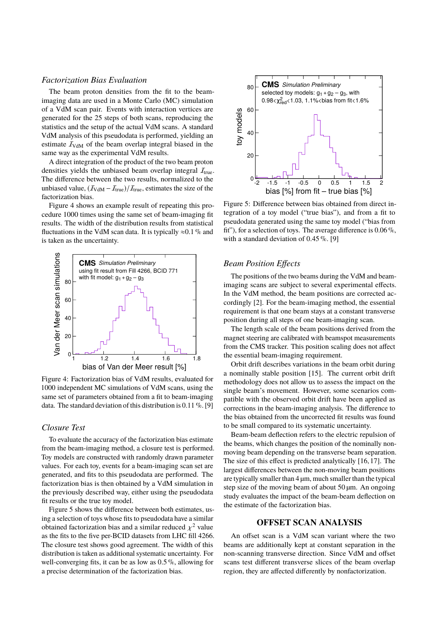#### *Factorization Bias Evaluation*

The beam proton densities from the fit to the beamimaging data are used in a Monte Carlo (MC) simulation of a VdM scan pair. Events with interaction vertices are generated for the 25 steps of both scans, reproducing the statistics and the setup of the actual VdM scans. A standard VdM analysis of this pseudodata is performed, yielding an estimate  $I_{VdM}$  of the beam overlap integral biased in the same way as the experimental VdM results.

A direct integration of the product of the two beam proton densities yields the unbiased beam overlap integral  $I_{true}$ . The difference between the two results, normalized to the unbiased value,  $(I_{VdM} - I_{true})/I_{true}$ , estimates the size of the factorization bias.

<span id="page-2-0"></span>Figure [4](#page-2-0) shows an example result of repeating this procedure 1000 times using the same set of beam-imaging fit results. The width of the distribution results from statistical fluctuations in the VdM scan data. It is typically  $\approx 0.1$ % and is taken as the uncertainty.



Figure 4: Factorization bias of VdM results, evaluated for 1000 independent MC simulations of VdM scans, using the same set of parameters obtained from a fit to beam-imaging data. The standard deviation of this distribution is 0.11 %. [\[9\]](#page-4-6)

## *Closure Test*

To evaluate the accuracy of the factorization bias estimate from the beam-imaging method, a closure test is performed. Toy models are constructed with randomly drawn parameter values. For each toy, events for a beam-imaging scan set are generated, and fits to this pseudodata are performed. The factorization bias is then obtained by a VdM simulation in the previously described way, either using the pseudodata fit results or the true toy model.

Figure [5](#page-2-1) shows the difference between both estimates, using a selection of toys whose fits to pseudodata have a similar obtained factorization bias and a similar reduced  $\chi^2$  value<br>as the fits to the five per-BCID datasets from LHC fill 4266 as the fits to the five per-BCID datasets from LHC fill 4266. The closure test shows good agreement. The width of this distribution is taken as additional systematic uncertainty. For well-converging fits, it can be as low as 0.5 %, allowing for a precise determination of the factorization bias.

<span id="page-2-1"></span>

Figure 5: Difference between bias obtained from direct integration of a toy model ("true bias"), and from a fit to pseudodata generated using the same toy model ("bias from fit"), for a selection of toys. The average difference is  $0.06\%$ . with a standard deviation of  $0.45\%$ . [\[9\]](#page-4-6)

## *Beam Position Effects*

The positions of the two beams during the VdM and beamimaging scans are subject to several experimental effects. In the VdM method, the beam positions are corrected accordingly [\[2\]](#page-4-1). For the beam-imaging method, the essential requirement is that one beam stays at a constant transverse position during all steps of one beam-imaging scan.

The length scale of the beam positions derived from the magnet steering are calibrated with beamspot measurements from the CMS tracker. This position scaling does not affect the essential beam-imaging requirement.

Orbit drift describes variations in the beam orbit during a nominally stable position [\[15\]](#page-4-12). The current orbit drift methodology does not allow us to assess the impact on the single beam's movement. However, some scenarios compatible with the observed orbit drift have been applied as corrections in the beam-imaging analysis. The difference to the bias obtained from the uncorrected fit results was found to be small compared to its systematic uncertainty.

Beam-beam deflection refers to the electric repulsion of the beams, which changes the position of the nominally nonmoving beam depending on the transverse beam separation. The size of this effect is predicted analytically [\[16,](#page-4-13) [17\]](#page-4-14). The largest differences between the non-moving beam positions are typically smaller than  $4 \mu m$ , much smaller than the typical step size of the moving beam of about  $50 \mu m$ . An ongoing study evaluates the impact of the beam-beam deflection on the estimate of the factorization bias.

### **OFFSET SCAN ANALYSIS**

An offset scan is a VdM scan variant where the two beams are additionally kept at constant separation in the non-scanning transverse direction. Since VdM and offset scans test different transverse slices of the beam overlap region, they are affected differently by nonfactorization.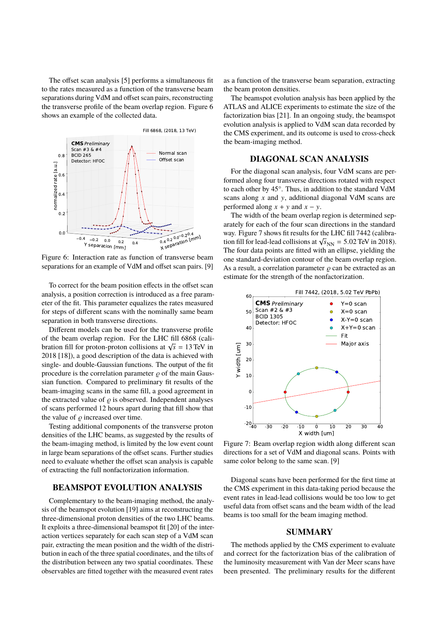The offset scan analysis [\[5\]](#page-4-15) performs a simultaneous fit to the rates measured as a function of the transverse beam separations during VdM and offset scan pairs, reconstructing the transverse profile of the beam overlap region. Figure [6](#page-3-0) shows an example of the collected data.

<span id="page-3-0"></span>

Figure 6: Interaction rate as function of transverse beam separations for an example of VdM and offset scan pairs. [\[9\]](#page-4-6)

To correct for the beam position effects in the offset scan analysis, a position correction is introduced as a free parameter of the fit. This parameter equalizes the rates measured for steps of different scans with the nominally same beam separation in both transverse directions.

Different models can be used for the transverse profile of the beam overlap region. For the LHC fill 6868 (calibration fill for proton-proton collisions at  $\sqrt{s} = 13$  TeV in 2018 [\[18\]](#page-4-16)), a good description of the data is achieved with single- and double-Gaussian functions. The output of the fit procedure is the correlation parameter  $\rho$  of the main Gaussian function. Compared to preliminary fit results of the beam-imaging scans in the same fill, a good agreement in the extracted value of  $\rho$  is observed. Independent analyses of scans performed 12 hours apart during that fill show that the value of  $\rho$  increased over time.

Testing additional components of the transverse proton densities of the LHC beams, as suggested by the results of the beam-imaging method, is limited by the low event count in large beam separations of the offset scans. Further studies need to evaluate whether the offset scan analysis is capable of extracting the full nonfactorization information.

# **BEAMSPOT EVOLUTION ANALYSIS**

Complementary to the beam-imaging method, the analysis of the beamspot evolution [\[19\]](#page-4-17) aims at reconstructing the three-dimensional proton densities of the two LHC beams. It exploits a three-dimensional beamspot fit [\[20\]](#page-4-18) of the interaction vertices separately for each scan step of a VdM scan pair, extracting the mean position and the width of the distribution in each of the three spatial coordinates, and the tilts of the distribution between any two spatial coordinates. These observables are fitted together with the measured event rates

as a function of the transverse beam separation, extracting the beam proton densities.

The beamspot evolution analysis has been applied by the ATLAS and ALICE experiments to estimate the size of the factorization bias [\[21\]](#page-4-19). In an ongoing study, the beamspot evolution analysis is applied to VdM scan data recorded by the CMS experiment, and its outcome is used to cross-check the beam-imaging method.

## **DIAGONAL SCAN ANALYSIS**

For the diagonal scan analysis, four VdM scans are performed along four transverse directions rotated with respect to each other by 45°. Thus, in addition to the standard VdM scans along *x* and y, additional diagonal VdM scans are performed along  $x + y$  and  $x - y$ .

The width of the beam overlap region is determined separately for each of the four scan directions in the standard way. Figure [7](#page-3-1) shows fit results for the LHC fill 7442 (calibraway. Figure 7 shows in results for the LHC fill 7442 (canona-<br>tion fill for lead-lead collisions at  $\sqrt{s}_{NN} = 5.02$  TeV in 2018).<br>The four data points are fitted with an ellipse, vielding the The four data points are fitted with an ellipse, yielding the one standard-deviation contour of the beam overlap region. As a result, a correlation parameter  $\rho$  can be extracted as an estimate for the strength of the nonfactorization.

<span id="page-3-1"></span>

Figure 7: Beam overlap region width along different scan directions for a set of VdM and diagonal scans. Points with same color belong to the same scan. [\[9\]](#page-4-6)

Diagonal scans have been performed for the first time at the CMS experiment in this data-taking period because the event rates in lead-lead collisions would be too low to get useful data from offset scans and the beam width of the lead beams is too small for the beam imaging method.

#### **SUMMARY**

The methods applied by the CMS experiment to evaluate and correct for the factorization bias of the calibration of the luminosity measurement with Van der Meer scans have been presented. The preliminary results for the different